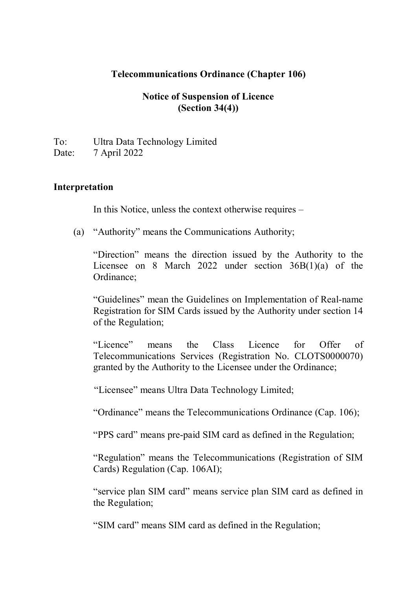#### **Telecommunications Ordinance (Chapter 106)**

### **Notice of Suspension of Licence (Section 34(4))**

To: Ultra Data Technology Limited Date: 7 April 2022

#### **Interpretation**

In this Notice, unless the context otherwise requires –

(a) "Authority" means the Communications Authority;

"Direction" means the direction issued by the Authority to the Licensee on 8 March 2022 under section 36B(1)(a) of the Ordinance;

"Guidelines" mean the Guidelines on Implementation of Real-name Registration for SIM Cards issued by the Authority under section 14 of the Regulation;

"Licence" means the Class Licence for Offer of Telecommunications Services (Registration No. CLOTS0000070) granted by the Authority to the Licensee under the Ordinance;

"Licensee" means Ultra Data Technology Limited;

"Ordinance" means the Telecommunications Ordinance (Cap. 106);

"PPS card" means pre-paid SIM card as defined in the Regulation;

"Regulation" means the Telecommunications (Registration of SIM Cards) Regulation (Cap. 106AI);

"service plan SIM card" means service plan SIM card as defined in the Regulation;

"SIM card" means SIM card as defined in the Regulation;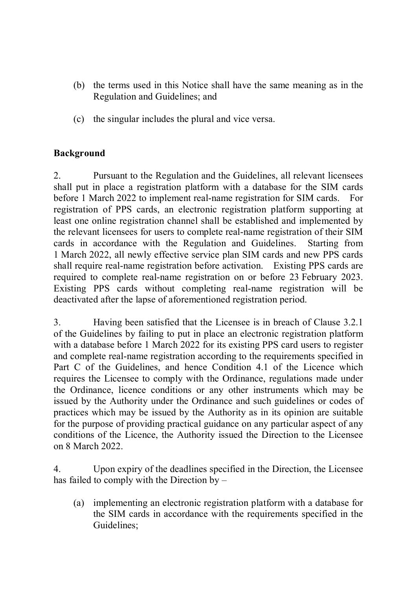- (b) the terms used in this Notice shall have the same meaning as in the Regulation and Guidelines; and
- (c) the singular includes the plural and vice versa.

# **Background**

2. Pursuant to the Regulation and the Guidelines, all relevant licensees shall put in place a registration platform with a database for the SIM cards before 1 March 2022 to implement real-name registration for SIM cards. For registration of PPS cards, an electronic registration platform supporting at least one online registration channel shall be established and implemented by the relevant licensees for users to complete real-name registration of their SIM cards in accordance with the Regulation and Guidelines. Starting from 1 March 2022, all newly effective service plan SIM cards and new PPS cards shall require real-name registration before activation. Existing PPS cards are required to complete real-name registration on or before 23 February 2023. Existing PPS cards without completing real-name registration will be deactivated after the lapse of aforementioned registration period.

3. Having been satisfied that the Licensee is in breach of Clause 3.2.1 of the Guidelines by failing to put in place an electronic registration platform with a database before 1 March 2022 for its existing PPS card users to register and complete real-name registration according to the requirements specified in Part C of the Guidelines, and hence Condition 4.1 of the Licence which requires the Licensee to comply with the Ordinance, regulations made under the Ordinance, licence conditions or any other instruments which may be issued by the Authority under the Ordinance and such guidelines or codes of practices which may be issued by the Authority as in its opinion are suitable for the purpose of providing practical guidance on any particular aspect of any conditions of the Licence, the Authority issued the Direction to the Licensee on 8 March 2022.

4. Upon expiry of the deadlines specified in the Direction, the Licensee has failed to comply with the Direction by –

(a) implementing an electronic registration platform with a database for the SIM cards in accordance with the requirements specified in the Guidelines;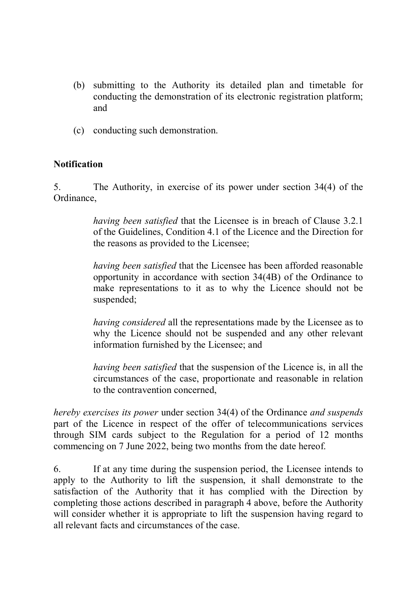- (b) submitting to the Authority its detailed plan and timetable for conducting the demonstration of its electronic registration platform; and
- (c) conducting such demonstration.

## **Notification**

5. The Authority, in exercise of its power under section 34(4) of the Ordinance,

> *having been satisfied* that the Licensee is in breach of Clause 3.2.1 of the Guidelines, Condition 4.1 of the Licence and the Direction for the reasons as provided to the Licensee;

> *having been satisfied* that the Licensee has been afforded reasonable opportunity in accordance with section 34(4B) of the Ordinance to make representations to it as to why the Licence should not be suspended;

> *having considered* all the representations made by the Licensee as to why the Licence should not be suspended and any other relevant information furnished by the Licensee; and

> *having been satisfied* that the suspension of the Licence is, in all the circumstances of the case, proportionate and reasonable in relation to the contravention concerned,

*hereby exercises its power* under section 34(4) of the Ordinance *and suspends*  part of the Licence in respect of the offer of telecommunications services through SIM cards subject to the Regulation for a period of 12 months commencing on 7 June 2022, being two months from the date hereof.

6. If at any time during the suspension period, the Licensee intends to apply to the Authority to lift the suspension, it shall demonstrate to the satisfaction of the Authority that it has complied with the Direction by completing those actions described in paragraph 4 above, before the Authority will consider whether it is appropriate to lift the suspension having regard to all relevant facts and circumstances of the case.